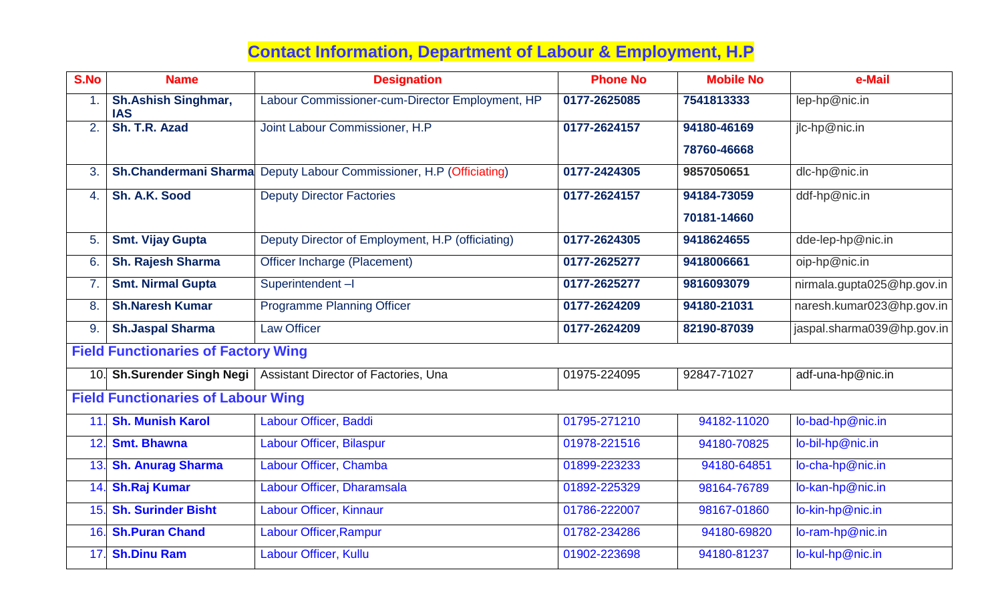## **Contact Information, Department of Labour & Employment, H.P**

| S.No                                       | <b>Name</b>                              | <b>Designation</b>                               | <b>Phone No</b> | <b>Mobile No</b> | e-Mail                     |  |  |  |
|--------------------------------------------|------------------------------------------|--------------------------------------------------|-----------------|------------------|----------------------------|--|--|--|
| 1.                                         | <b>Sh.Ashish Singhmar,</b><br><b>IAS</b> | Labour Commissioner-cum-Director Employment, HP  | 0177-2625085    | 7541813333       | lep-hp@nic.in              |  |  |  |
| 2.                                         | Sh. T.R. Azad                            | Joint Labour Commissioner, H.P                   | 0177-2624157    | 94180-46169      | jlc-hp@nic.in              |  |  |  |
|                                            |                                          |                                                  |                 | 78760-46668      |                            |  |  |  |
| 3.                                         | <b>Sh.Chandermani Sharma</b>             | Deputy Labour Commissioner, H.P (Officiating)    | 0177-2424305    | 9857050651       | dlc-hp@nic.in              |  |  |  |
| 4.                                         | Sh. A.K. Sood                            | <b>Deputy Director Factories</b>                 | 0177-2624157    | 94184-73059      | ddf-hp@nic.in              |  |  |  |
|                                            |                                          |                                                  |                 | 70181-14660      |                            |  |  |  |
| 5.                                         | <b>Smt. Vijay Gupta</b>                  | Deputy Director of Employment, H.P (officiating) | 0177-2624305    | 9418624655       | dde-lep-hp@nic.in          |  |  |  |
| 6.                                         | <b>Sh. Rajesh Sharma</b>                 | Officer Incharge (Placement)                     | 0177-2625277    | 9418006661       | oip-hp@nic.in              |  |  |  |
| 7.                                         | <b>Smt. Nirmal Gupta</b>                 | Superintendent-I                                 | 0177-2625277    | 9816093079       | nirmala.gupta025@hp.gov.in |  |  |  |
| 8.                                         | <b>Sh.Naresh Kumar</b>                   | <b>Programme Planning Officer</b>                | 0177-2624209    | 94180-21031      | naresh.kumar023@hp.gov.in  |  |  |  |
| 9                                          | <b>Sh.Jaspal Sharma</b>                  | <b>Law Officer</b>                               | 0177-2624209    | 82190-87039      | jaspal.sharma039@hp.gov.in |  |  |  |
| <b>Field Functionaries of Factory Wing</b> |                                          |                                                  |                 |                  |                            |  |  |  |
|                                            | 10. Sh.Surender Singh Negi               | Assistant Director of Factories, Una             | 01975-224095    | 92847-71027      | adf-una-hp@nic.in          |  |  |  |
| <b>Field Functionaries of Labour Wing</b>  |                                          |                                                  |                 |                  |                            |  |  |  |
| 11                                         | <b>Sh. Munish Karol</b>                  | Labour Officer, Baddi                            | 01795-271210    | 94182-11020      | lo-bad-hp@nic.in           |  |  |  |
| 12                                         | <b>Smt. Bhawna</b>                       | Labour Officer, Bilaspur                         | 01978-221516    | 94180-70825      | lo-bil-hp@nic.in           |  |  |  |
| 13.                                        | <b>Sh. Anurag Sharma</b>                 | Labour Officer, Chamba                           | 01899-223233    | 94180-64851      | lo-cha-hp@nic.in           |  |  |  |
| 14.                                        | <b>Sh.Raj Kumar</b>                      | Labour Officer, Dharamsala                       | 01892-225329    | 98164-76789      | lo-kan-hp@nic.in           |  |  |  |
|                                            | 15. Sh. Surinder Bisht                   | Labour Officer, Kinnaur                          | 01786-222007    | 98167-01860      | lo-kin-hp@nic.in           |  |  |  |
|                                            | 16. Sh. Puran Chand                      | Labour Officer, Rampur                           | 01782-234286    | 94180-69820      | lo-ram-hp@nic.in           |  |  |  |
| 17                                         | <b>Sh.Dinu Ram</b>                       | Labour Officer, Kullu                            | 01902-223698    | 94180-81237      | lo-kul-hp@nic.in           |  |  |  |